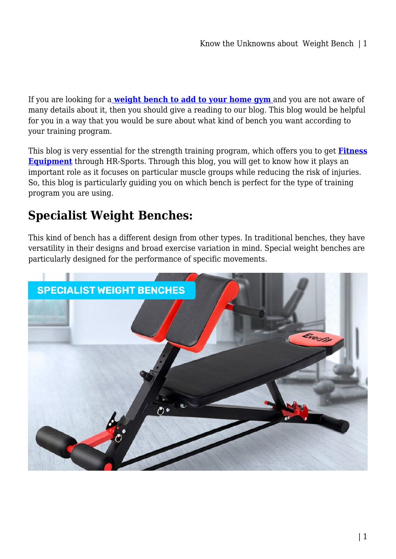If you are looking for a **[weight bench to add to your home gym](https://www.hr-sports.com.au/fitness/exercise-benches/)** and you are not aware of many details about it, then you should give a reading to our blog. This blog would be helpful for you in a way that you would be sure about what kind of bench you want according to your training program.

This blog is very essential for the strength training program, which offers you to get **[Fitness](https://www.hr-sports.com.au/fitness/) [Equipment](https://www.hr-sports.com.au/fitness/)** through HR-Sports. Through this blog, you will get to know how it plays an important role as it focuses on particular muscle groups while reducing the risk of injuries. So, this blog is particularly guiding you on which bench is perfect for the type of training program you are using.

## **Specialist Weight Benches:**

This kind of bench has a different design from other types. In traditional benches, they have versatility in their designs and broad exercise variation in mind. Special weight benches are particularly designed for the performance of specific movements.

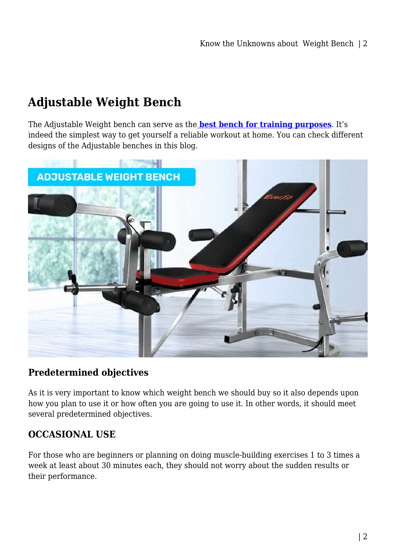# **Adjustable Weight Bench**

The Adjustable Weight bench can serve as the **[best bench for training purposes](https://www.hr-sports.com.au/fitness/exercise-benches/)**. It's indeed the simplest way to get yourself a reliable workout at home. You can check different designs of the Adjustable benches in this blog.



#### **Predetermined objectives**

As it is very important to know which weight bench we should buy so it also depends upon how you plan to use it or how often you are going to use it. In other words, it should meet several predetermined objectives.

## **OCCASIONAL USE**

For those who are beginners or planning on doing muscle-building exercises 1 to 3 times a week at least about 30 minutes each, they should not worry about the sudden results or their performance.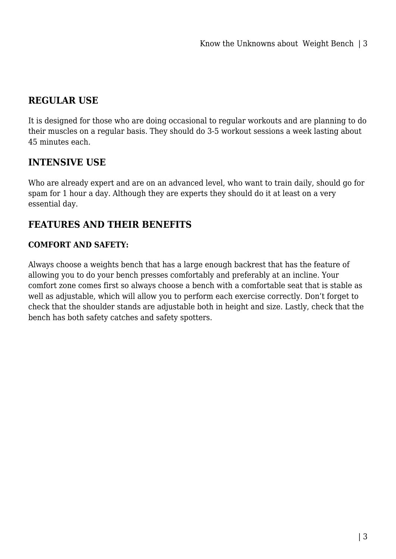### **REGULAR USE**

It is designed for those who are doing occasional to regular workouts and are planning to do their muscles on a regular basis. They should do 3-5 workout sessions a week lasting about 45 minutes each.

### **INTENSIVE USE**

Who are already expert and are on an advanced level, who want to train daily, should go for spam for 1 hour a day. Although they are experts they should do it at least on a very essential day.

#### **FEATURES AND THEIR BENEFITS**

#### **COMFORT AND SAFETY:**

Always choose a weights bench that has a large enough backrest that has the feature of allowing you to do your bench presses comfortably and preferably at an incline. Your comfort zone comes first so always choose a bench with a comfortable seat that is stable as well as adjustable, which will allow you to perform each exercise correctly. Don't forget to check that the shoulder stands are adjustable both in height and size. Lastly, check that the bench has both safety catches and safety spotters.